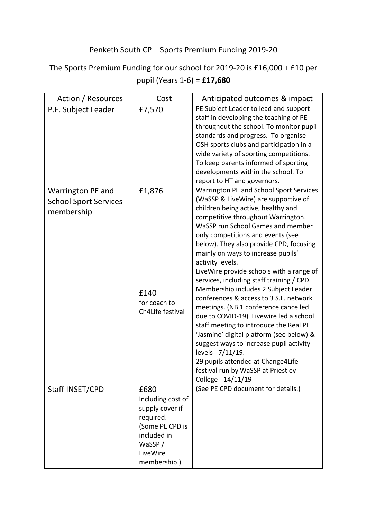## Penketh South CP – Sports Premium Funding 2019-20

The Sports Premium Funding for our school for 2019-20 is £16,000 + £10 per pupil (Years 1-6) = **£17,680**

| Action / Resources                                              | Cost                                                                                                                              | Anticipated outcomes & impact                                                                                                                                                                                                                                                                                                                                                                                                                                                                                                                                                                                                                                                                                                                                                                                                                                  |
|-----------------------------------------------------------------|-----------------------------------------------------------------------------------------------------------------------------------|----------------------------------------------------------------------------------------------------------------------------------------------------------------------------------------------------------------------------------------------------------------------------------------------------------------------------------------------------------------------------------------------------------------------------------------------------------------------------------------------------------------------------------------------------------------------------------------------------------------------------------------------------------------------------------------------------------------------------------------------------------------------------------------------------------------------------------------------------------------|
| P.E. Subject Leader                                             | £7,570                                                                                                                            | PE Subject Leader to lead and support<br>staff in developing the teaching of PE<br>throughout the school. To monitor pupil<br>standards and progress. To organise<br>OSH sports clubs and participation in a<br>wide variety of sporting competitions.<br>To keep parents informed of sporting<br>developments within the school. To<br>report to HT and governors.                                                                                                                                                                                                                                                                                                                                                                                                                                                                                            |
| Warrington PE and<br><b>School Sport Services</b><br>membership | £1,876<br>£140<br>for coach to<br>Ch4Life festival                                                                                | Warrington PE and School Sport Services<br>(WaSSP & LiveWire) are supportive of<br>children being active, healthy and<br>competitive throughout Warrington.<br>WaSSP run School Games and member<br>only competitions and events (see<br>below). They also provide CPD, focusing<br>mainly on ways to increase pupils'<br>activity levels.<br>LiveWire provide schools with a range of<br>services, including staff training / CPD.<br>Membership includes 2 Subject Leader<br>conferences & access to 3 S.L. network<br>meetings. (NB 1 conference cancelled<br>due to COVID-19) Livewire led a school<br>staff meeting to introduce the Real PE<br>'Jasmine' digital platform (see below) &<br>suggest ways to increase pupil activity<br>levels - 7/11/19.<br>29 pupils attended at Change4Life<br>festival run by WaSSP at Priestley<br>College - 14/11/19 |
| Staff INSET/CPD                                                 | £680<br>Including cost of<br>supply cover if<br>required.<br>(Some PE CPD is<br>included in<br>WaSSP/<br>LiveWire<br>membership.) | (See PE CPD document for details.)                                                                                                                                                                                                                                                                                                                                                                                                                                                                                                                                                                                                                                                                                                                                                                                                                             |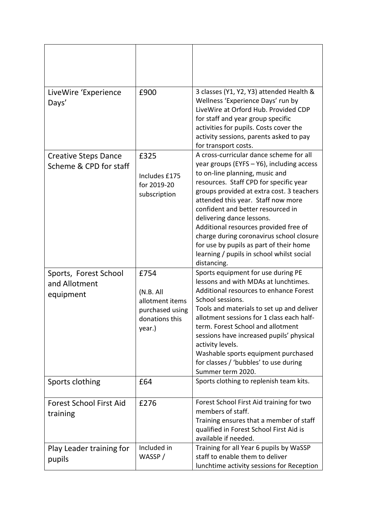| LiveWire 'Experience<br>Days'                         | £900                                                                                 | 3 classes (Y1, Y2, Y3) attended Health &<br>Wellness 'Experience Days' run by<br>LiveWire at Orford Hub. Provided CDP<br>for staff and year group specific<br>activities for pupils. Costs cover the<br>activity sessions, parents asked to pay<br>for transport costs.                                                                                                                                                                                                                                           |
|-------------------------------------------------------|--------------------------------------------------------------------------------------|-------------------------------------------------------------------------------------------------------------------------------------------------------------------------------------------------------------------------------------------------------------------------------------------------------------------------------------------------------------------------------------------------------------------------------------------------------------------------------------------------------------------|
| <b>Creative Steps Dance</b><br>Scheme & CPD for staff | £325<br>Includes £175<br>for 2019-20<br>subscription                                 | A cross-curricular dance scheme for all<br>year groups (EYFS - Y6), including access<br>to on-line planning, music and<br>resources. Staff CPD for specific year<br>groups provided at extra cost. 3 teachers<br>attended this year. Staff now more<br>confident and better resourced in<br>delivering dance lessons.<br>Additional resources provided free of<br>charge during coronavirus school closure<br>for use by pupils as part of their home<br>learning / pupils in school whilst social<br>distancing. |
| Sports, Forest School<br>and Allotment<br>equipment   | £754<br>(N.B. All)<br>allotment items<br>purchased using<br>donations this<br>year.) | Sports equipment for use during PE<br>lessons and with MDAs at lunchtimes.<br>Additional resources to enhance Forest<br>School sessions.<br>Tools and materials to set up and deliver<br>allotment sessions for 1 class each half-<br>term. Forest School and allotment<br>sessions have increased pupils' physical<br>activity levels.<br>Washable sports equipment purchased<br>for classes / 'bubbles' to use during<br>Summer term 2020.                                                                      |
| Sports clothing                                       | £64                                                                                  | Sports clothing to replenish team kits.                                                                                                                                                                                                                                                                                                                                                                                                                                                                           |
| <b>Forest School First Aid</b><br>training            | £276                                                                                 | Forest School First Aid training for two<br>members of staff.<br>Training ensures that a member of staff<br>qualified in Forest School First Aid is<br>available if needed.                                                                                                                                                                                                                                                                                                                                       |
| Play Leader training for<br>pupils                    | Included in<br>WASSP/                                                                | Training for all Year 6 pupils by WaSSP<br>staff to enable them to deliver<br>lunchtime activity sessions for Reception                                                                                                                                                                                                                                                                                                                                                                                           |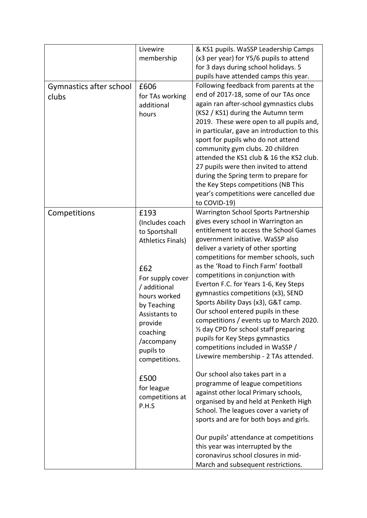| Gymnastics after school<br>clubs | Livewire<br>membership<br>£606<br>for TAs working<br>additional<br>hours                                                                                                                                                           | & KS1 pupils. WaSSP Leadership Camps<br>(x3 per year) for Y5/6 pupils to attend<br>for 3 days during school holidays. 5<br>pupils have attended camps this year.<br>Following feedback from parents at the<br>end of 2017-18, some of our TAs once<br>again ran after-school gymnastics clubs<br>(KS2 / KS1) during the Autumn term<br>2019. These were open to all pupils and,<br>in particular, gave an introduction to this<br>sport for pupils who do not attend<br>community gym clubs. 20 children<br>attended the KS1 club & 16 the KS2 club.<br>27 pupils were then invited to attend<br>during the Spring term to prepare for                                                  |
|----------------------------------|------------------------------------------------------------------------------------------------------------------------------------------------------------------------------------------------------------------------------------|-----------------------------------------------------------------------------------------------------------------------------------------------------------------------------------------------------------------------------------------------------------------------------------------------------------------------------------------------------------------------------------------------------------------------------------------------------------------------------------------------------------------------------------------------------------------------------------------------------------------------------------------------------------------------------------------|
|                                  |                                                                                                                                                                                                                                    | the Key Steps competitions (NB This<br>year's competitions were cancelled due<br>to COVID-19)                                                                                                                                                                                                                                                                                                                                                                                                                                                                                                                                                                                           |
| Competitions                     | £193<br>(Includes coach<br>to Sportshall<br><b>Athletics Finals)</b><br>£62<br>For supply cover<br>/ additional<br>hours worked<br>by Teaching<br>Assistants to<br>provide<br>coaching<br>/accompany<br>pupils to<br>competitions. | Warrington School Sports Partnership<br>gives every school in Warrington an<br>entitlement to access the School Games<br>government initiative. WaSSP also<br>deliver a variety of other sporting<br>competitions for member schools, such<br>as the 'Road to Finch Farm' football<br>competitions in conjunction with<br>Everton F.C. for Years 1-6, Key Steps<br>gymnastics competitions (x3), SEND<br>Sports Ability Days (x3), G&T camp.<br>Our school entered pupils in these<br>competitions / events up to March 2020.<br>1/2 day CPD for school staff preparing<br>pupils for Key Steps gymnastics<br>competitions included in WaSSP /<br>Livewire membership - 2 TAs attended. |
|                                  | £500<br>for league<br>competitions at<br>P.H.S                                                                                                                                                                                     | Our school also takes part in a<br>programme of league competitions<br>against other local Primary schools,<br>organised by and held at Penketh High<br>School. The leagues cover a variety of<br>sports and are for both boys and girls.<br>Our pupils' attendance at competitions                                                                                                                                                                                                                                                                                                                                                                                                     |
|                                  |                                                                                                                                                                                                                                    | this year was interrupted by the<br>coronavirus school closures in mid-<br>March and subsequent restrictions.                                                                                                                                                                                                                                                                                                                                                                                                                                                                                                                                                                           |